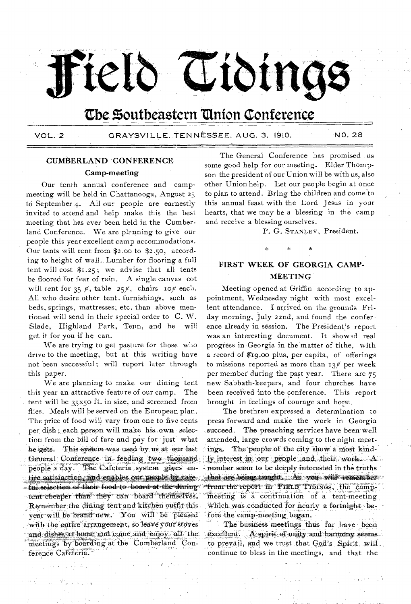# ield Cidings

# **the Zoutbeastern Union Conference**

VOL. 2 GRAYSVILLE. TENNESSEE. AUG. 3. 1910. NO. 28

### CUMBERLAND CONFERENCE Camp-meeting

Our tenth annual conference and campmeeting will be held in Chattanooga, August 25 to September 4. All our people are earnestly invited to attend and help make this the best meeting that has ever been held in the Cumberland Conference. We are plenning to give our people this year excellent camp accommodations. Our tents will rent from \$2.00 to \$2.5o, according to height of wall. Lumber for flooring a full tent will cost  $$1.25$ ; we advise that all tents be floored for fear of rain. A single canvas cot will rent for 35  $\ell$ , table 25 $\ell$ , chairs 10 $\ell$  each. All who desire other tent. furnishings, such as beds, springs, mattresses; etc. than above mentioned will send in their special order to C. W. Slade, Highland Park, Tenn, and he will get it for you if he can.

We are trying to get pasture for those who drive to the meeting, but at this writing have not been successful; will report later through this paper.

We are planning to make our dining tent this year an attractive feature of our camp. The tent will be 35x50 ft. in size, and screened from flies. Meals will be served on the European plan. The price of food will vary from one to five cents per dish; each person will make his own selection from the bill of fare and pay for just what he gets. This system was used by us at our last General Conference in feeding two thousand people a day. The Cafeteria system gives entire satisfaction, and enables our people by carefal selection of their food- to board-art the-dining tent cheaper than they can board themselves. Remember the dining tent- and kitchen outfit this year will be brand-new. You will be pleased with the entire arrangement, so leave your stoves dishes at home and come and enjoy all the with the entire arrangement, so leave your stoves<br>and dishes at home and come and enjoy all the<br>meetings by boarding at the Cumberland Con-<br>taxon Cofeters meetings by boarding at the Cumberland Conference Cafeteria.

The General Conference has promised us some good help for our meeting. Elder Thompson the president of our Union will be with us, also other Union help. Let our people begin at once to plan to attend. Bring the children and come'to this annual feast with the Lord Jesus in your hearts, that we may be a blessing in the camp and receive a blessing ourselves.

P. G. STANLEY, President.

### FIRST WEEK OF GEORGIA CAMP-MEETING

Meeting 'opened at Griffin according to appointment, Wednesday night with most excellent attendance. I arrived on the grounds Friday morning, July 22nd, and found the conference already in session. The President's report was an interesting document. It showed real progress in Georgia in the matter of tithe, with a record of \$19.00 plus, per capita, of offerings to missions reported as more than  $130$  per week per member during the past year. There are 75 new Sabbath-keepers, and four churches have been received into the conference. This report brought in feelings of courage and hope.

The brethren expressed a determination to press forward and make the work in Georgia succeed. The preaching services have been well<sup>'</sup> attended, large crowds coming, to the night meet ings. The people of the city show a most kindly interest in our people and their work. A. number, seem to be deeply interested in-the truths that are being taught. As you will remember "from the report in FIELD TIDINGS, the campmeeting is a continuation of a tent-meeting which was conducted for nearly a fortnight before the camp-meeting began.

The business meetings thus far have been  $excellent$   $A$  spirit of unity and harmony seems to prevail, and we trust that God's Spirit, will, continue to bless in the meetings, and that the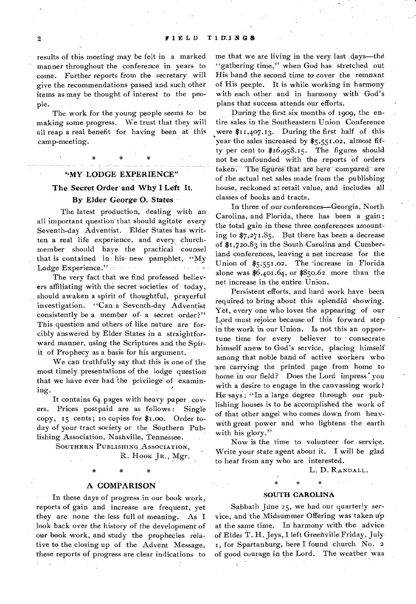results of this meeting may be felt in a marked manner throughout the conference in years to come. Further reports from the secretary will give the recommendations passed and such other items as may be thought of interest to the people.

The work for the young people seems to be making some progress. We trust that they will all reap a real benefit for having been at this camp-meeting.

### **"MY LODGE EXPERIENCE"**

### **The Secret Order' and Why I Left It.**

### **By Elder George 0. States**

The latest production, dealing with an all important question that should agitate every Seventh-day Adventist. Elder States has written a real life experience, and every churchmember should have the practical counsel that is contained in his- new pamphlet, "My Lodge-Experience."

The very fact that we find professed believers affiliating with the secret societies of today, should awaken a spirit of thoughtful, prayerful investigation. "Can a Seventh-day Adventist consistently be a member of a secret order?" This question and others of like nature are forcibly answered by Elder States in a straightforward manner, using the Scriptures and the Spirit of Prophecy as a basis for his argument.

We can truthfully say that this is one of the most timely presentations of the lodge question that we have ever had the privilege of examining.

It contains 64 pages with heavy paper covers. Prices postpaid are as follows : Single copy, 15 cents,; to copies for \$1.00. Order today of your tract society or the Southern Publishing Association, Nashville, Tennessee.

SOUTHERN PUBLISHING ASSOCIATION,

R. Hook Jr., Mgr.

### **A COMPARISON**

In these days of progress in our book work, reports of gain and increase are frequent, yet they are none the less full of meaning. As I look back over the history of the development of our book work, and study the prophecies relative to the closing up of the Advent Message, these reports of progress are clear indications to

me that we are living in the very last days—the "gathering time," when God has stretched out His hand the second time to' cover the remnant of His peeple. It is while working in harmony with each other and in harmony with God's plans that success attends our efforts.

During the first six months of 1909, the entire sales in the Southeastern Union Conference were \$11,407.13. During the first half of this year the sales increased by \$5,551.02, almost fifty per cent to \$16,958.15. The *figures* should not be confounded with the reports 'of orders taken. The figures that are here compared are of the actual net sales made from the publishing house, reckoned at retail value, and includes all classes of books and tracts.

In three of our conferences—Georgia, North Carolina, and Florida, there has been a gain ; the total gain in these three conferences amounting to \$7,271.85. But there has been a decrease of \$1,720.83 in the South Carolina and Cumberland conferences, leaving a net increase for the Union of \$5,551.02. The increase in Florida alone was \$6,401.64, or \$850.62 more than the net increase in the entire Union.

Persistent efforts, and hard work have been required to bring about this splendid showing. Yet, every one who loves the appearing of our Lord must rejoice because of this forward step in the work in our Union. Is not this an opportune time for every believer to consecrate himself anew to God's service, placing himself among that noble band of active workers who -are carrying the printed page from home to home in our field? Does the Lord impress' you with a desire to engage in the canvassing work? He-says: "In a large degree through our publishing houses is to, be accomplished the work of of that other angel who comes down from heavwith great power and who lightens the earth with his glory."

Now is the time to volunteer for service. Write your state agent about it. I will be glad to heat from any who are interested.

L. D. R&NDALL.

### **SOUTH CAROLINA**

Sabbath June 25, we had our quarterly service, and the Midsummer Offering was taken up at the same time. In harmony with the adviceof Elder T-11. Jeys, I left Greenville Friday, July t, for Spartanburg, here I found church No. 2 of good courage in the Lord. The weather was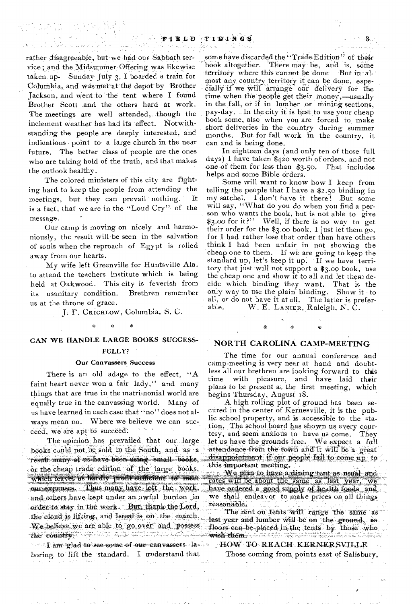rather disagreeable, but we had our Sabbath service ; and the Midsuminer Offering was likewise taken up- Sunday July 3, I boarded a train for Columbia, and was met at the depot by Brother Jackson, and went to the tent where I found Brother Scott and the others hard at work. The meetings are well attended, though the inclement weather has had its effect. Notwithstanding the people are deeply interested, and indications point to a large church in the near future. The better class of people are the ones who are taking hold of the truth, and that makes the outlook healthy.

The colored ministers of this city are fighting hard to keep the people from attending the meetings, but they can prevail nothing. It is a fact, thaf we are in the "Loud Cry" of the message.

Our camp is moving on nicely and harmoniously, the result will be seen in the salvation of souls when the reproach of Egypt is rolled away from our hearts.

My wife left Greenville for Huntsville Ala. to attend the teachers institute which is being held at Oakwood. This city is feverish from its usanitary condition. Brethren remember us at the throne of grace.

J. F. CRICHLOW, Columbia, S. C.

### \*

### CAN WE HANDLE LARGE BOOKS SUCCESS- NORTH CAROLINA CAMP-MEETING FULLY?

### Our Canvassers Success

There is an old adage to the effect, "A faint heart never won a fair lady," and many things that are true in the matrimonial world are equally true in the canvassing world. Many of us have learned in each case that "no" does not always mean no. Where we believe we can succeed, we are apt to succeed.

order: to stay in the work. But, thank the Lord, reasonable.<br>The rent on tents will range the same as , ماسيانا إليها (ماركانيا) بهذه والمتوافقة بالمسترد بالمتوافق المواصلينية في المستوفي The opinion has prevailed that our large books could not be sold in the South, and as a 1esutt many of us have been using small -books, *or* the cheap trade edition of the large books, which leaves us hardly profit sufficient to meet our expenses. Thus many have left the work, and others have kept under an awful burden in We believe we are all ifie country. ,,,-t;ivish them. ;;;.;

am glad to see some of our canvassers,  $1a-$  HOW TO REACH KERNERSVILLE boring to lift the standard. I understand that Those coming from points east of Salisbury,

some have discarded the "Trade-Edition" of their book altogether. There may be, and is, some territory where this cannot be done But in almost any country territory it\_can be done, especiallY if we will arrange oar delivery for the time when the people get their money,—usually in the fall, or if in lumber or mining sections, pay-day. In the city it is best to use your cheap book some, also when you are forced to make short deliveries in the country during summer months. But for fall work in the country, it can and is being done.

 $\mathbf{R}$ 

In eighteen days (and only ten of those full days) I have taken \$1.20 worth of orders, and not one of them for less than \$3.50. That includes helps and some Bible orders.

Some will want to know how I keep from telling the people that I have a \$2.50 binding in my satchel. I don't have it there! But some will say, "What do you do when you find a person who wants the book, but is not able to give \$3.00 for it?" Well, if there is no way to get their order for the \$3.0o book, I just let them go, for I had rather lose that order than have others think I had been unfair in not showing the cheap one to them. If we are going to keep the standard up, let's keep it up. If we have territory that just will not support a \$3.00 book, use the cheap one and show it to all and let them decide which binding they want. That is the only way to use the plain binding. Show it to all, or do not have it at all. The latter is prefer-<br>able.  $W, E, LANIER, Raleich, N, C$ . W. E. LANIER, Raleigh, N. C.

The time for our annual conference and camp-meeting is very near at hand and doubtless all our brethren are looking forward to this time with pleasure, and have laid their plans to be present at the first meeting, which begins Thursday, August IS.

A high rolling plot of ground has been secured in the center of Kernesville, it is the public school property, and is. accessible to the station. The school board has shown us every courtesy, and seem anxious to have us come. They let us have the grounds free. We expect a full attendance-from the town and it will be a great disappointment if our people fail to come up to this important meeting.

We plan to have a dining tent as usual and rates will be about the same as last year, we have ordered a good supply of health foods and. we shall endeavor to make prices on all things.<br>reasonable.

the cloud is lifting, and Isreal is on the march. Hast year and lumber will be on the ground, so.<br>We believe we are able to go over and possess floors can be placed in the tents, by those who floors can be placed in the tents. by those  $\Lambda$